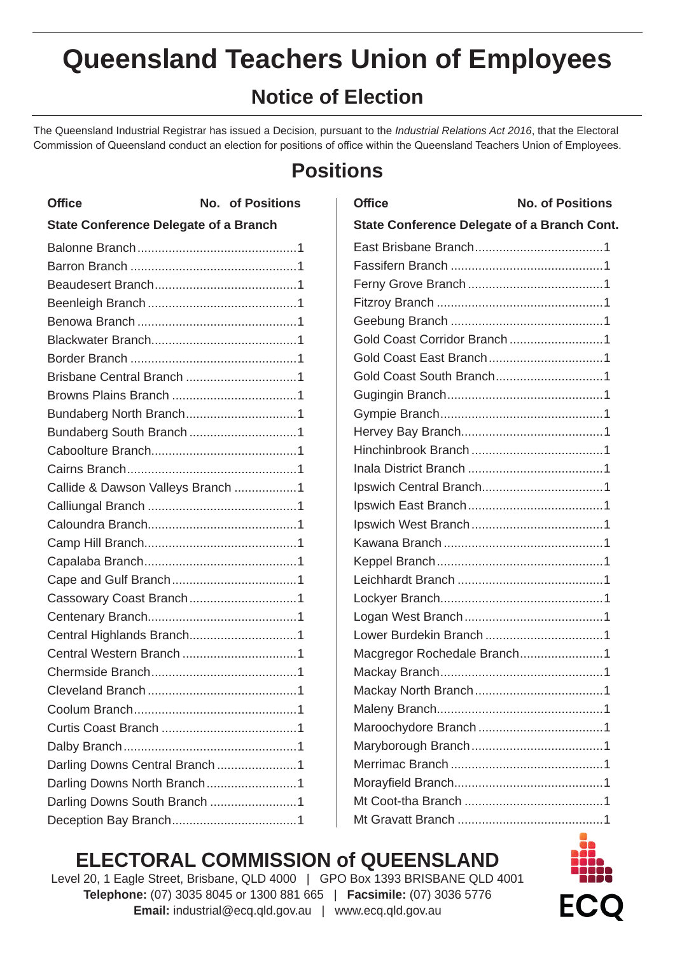# **Notice of Election**

The Queensland Industrial Registrar has issued a Decision, pursuant to the *Industrial Relations Act 2016*, that the Electoral Commission of Queensland conduct an election for positions of office within the Queensland Teachers Union of Employees.

# **Positions**

| <b>Office</b>                                | <b>No. of Positions</b> |
|----------------------------------------------|-------------------------|
| <b>State Conference Delegate of a Branch</b> |                         |
|                                              |                         |
|                                              |                         |
|                                              |                         |
|                                              |                         |
|                                              |                         |
|                                              |                         |
|                                              |                         |
|                                              |                         |
|                                              |                         |
| Bundaberg North Branch1                      |                         |
|                                              |                         |
|                                              |                         |
|                                              |                         |
| Callide & Dawson Valleys Branch 1            |                         |
|                                              |                         |
|                                              |                         |
|                                              |                         |
|                                              |                         |
|                                              |                         |
|                                              |                         |
|                                              |                         |
| Central Highlands Branch1                    |                         |
|                                              |                         |
|                                              |                         |
|                                              |                         |
|                                              |                         |
|                                              |                         |
|                                              |                         |
| Darling Downs Central Branch 1               |                         |
| Darling Downs North Branch1                  |                         |
| Darling Downs South Branch 1                 |                         |
|                                              |                         |

| <b>Office</b>                               | <b>No. of Positions</b> |
|---------------------------------------------|-------------------------|
| State Conference Delegate of a Branch Cont. |                         |
|                                             |                         |
|                                             |                         |
|                                             |                         |
|                                             |                         |
|                                             |                         |
| Gold Coast Corridor Branch 1                |                         |
|                                             |                         |
|                                             |                         |
|                                             |                         |
|                                             |                         |
|                                             |                         |
|                                             |                         |
|                                             |                         |
|                                             |                         |
|                                             |                         |
|                                             |                         |
|                                             |                         |
|                                             |                         |
|                                             |                         |
|                                             |                         |
|                                             |                         |
|                                             |                         |
| Macgregor Rochedale Branch1                 |                         |
|                                             |                         |
|                                             |                         |
|                                             |                         |
|                                             |                         |
|                                             |                         |
|                                             |                         |
|                                             |                         |
|                                             |                         |
|                                             |                         |

# **ELECTORAL COMMISSION of QUEENSLAND**

Level 20, 1 Eagle Street, Brisbane, QLD 4000 | GPO Box 1393 BRISBANE QLD 4001 **Telephone:** (07) 3035 8045 or 1300 881 665 | **Facsimile:** (07) 3036 5776 **Email:** industrial@ecq.qld.gov.au | www.ecq.qld.gov.au

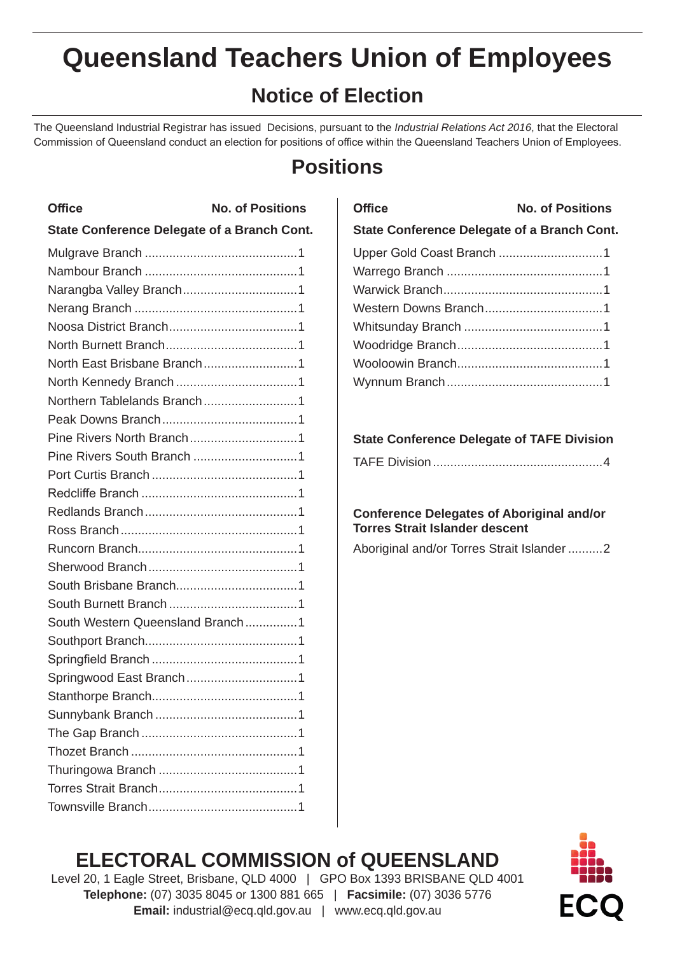# **Notice of Election**

The Queensland Industrial Registrar has issued Decisions, pursuant to the *Industrial Relations Act 2016*, that the Electoral Commission of Queensland conduct an election for positions of office within the Queensland Teachers Union of Employees.

# **Positions**

| <b>Office</b>                                      | <b>No. of Positions</b> |
|----------------------------------------------------|-------------------------|
| <b>State Conference Delegate of a Branch Cont.</b> |                         |
|                                                    |                         |
|                                                    |                         |
|                                                    |                         |
|                                                    |                         |
|                                                    |                         |
|                                                    |                         |
|                                                    |                         |
|                                                    |                         |
| Northern Tablelands Branch1                        |                         |
|                                                    |                         |
|                                                    |                         |
|                                                    |                         |
|                                                    |                         |
|                                                    |                         |
|                                                    |                         |
|                                                    |                         |
|                                                    |                         |
|                                                    |                         |
|                                                    |                         |
|                                                    |                         |
| South Western Queensland Branch1                   |                         |
|                                                    |                         |
|                                                    |                         |
|                                                    |                         |
|                                                    |                         |
|                                                    |                         |
|                                                    |                         |
|                                                    |                         |
|                                                    |                         |
|                                                    |                         |
|                                                    |                         |

| <b>Office</b>                                      | <b>No. of Positions</b> |  |
|----------------------------------------------------|-------------------------|--|
| <b>State Conference Delegate of a Branch Cont.</b> |                         |  |
|                                                    |                         |  |
|                                                    |                         |  |
|                                                    |                         |  |
|                                                    |                         |  |
|                                                    |                         |  |
|                                                    |                         |  |
|                                                    |                         |  |
|                                                    |                         |  |
|                                                    |                         |  |

#### **State Conference Delegate of TAFE Division**

#### **Conference Delegates of Aboriginal and/or Torres Strait Islander descent**

Aboriginal and/or Torres Strait Islander ..........2

## **ELECTORAL COMMISSION of QUEENSLAND**



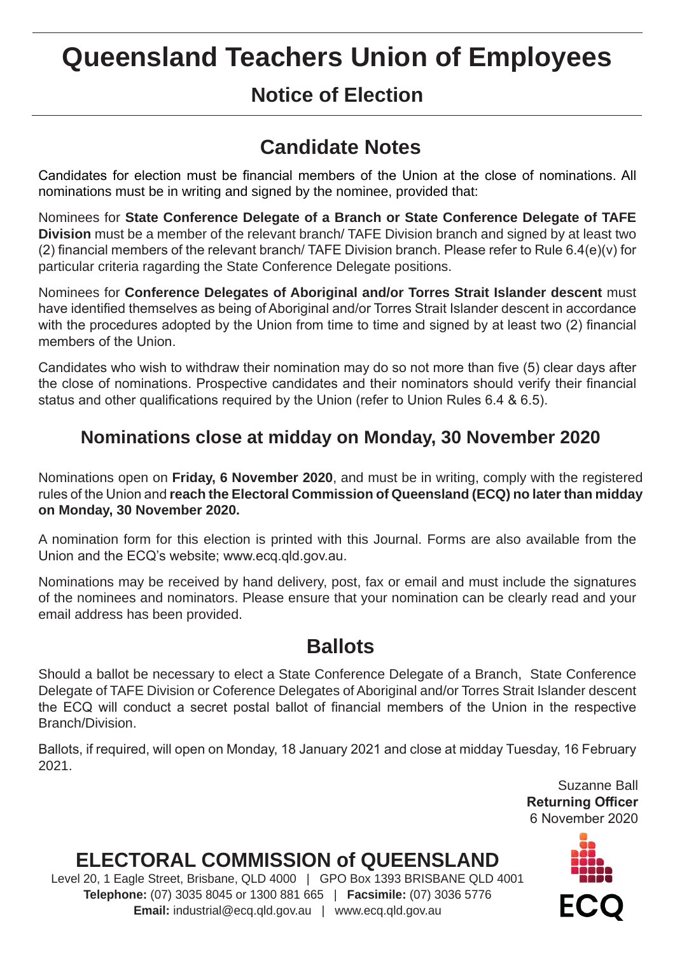## **Notice of Election**

# **Candidate Notes**

Candidates for election must be financial members of the Union at the close of nominations. All nominations must be in writing and signed by the nominee, provided that:

Nominees for **State Conference Delegate of a Branch or State Conference Delegate of TAFE Division** must be a member of the relevant branch/ TAFE Division branch and signed by at least two (2) financial members of the relevant branch/ TAFE Division branch. Please refer to Rule 6.4(e)(v) for particular criteria ragarding the State Conference Delegate positions.

Nominees for **Conference Delegates of Aboriginal and/or Torres Strait Islander descent** must have identified themselves as being of Aboriginal and/or Torres Strait Islander descent in accordance with the procedures adopted by the Union from time to time and signed by at least two (2) financial members of the Union.

Candidates who wish to withdraw their nomination may do so not more than five (5) clear days after the close of nominations. Prospective candidates and their nominators should verify their financial status and other qualifications required by the Union (refer to Union Rules 6.4 & 6.5).

### **Nominations close at midday on Monday, 30 November 2020**

Nominations open on **Friday, 6 November 2020**, and must be in writing, comply with the registered rules of the Union and **reach the Electoral Commission of Queensland (ECQ) no later than midday on Monday, 30 November 2020.**

A nomination form for this election is printed with this Journal. Forms are also available from the Union and the ECQ's website; www.ecq.qld.gov.au.

Nominations may be received by hand delivery, post, fax or email and must include the signatures of the nominees and nominators. Please ensure that your nomination can be clearly read and your email address has been provided.

### **Ballots**

Should a ballot be necessary to elect a State Conference Delegate of a Branch, State Conference Delegate of TAFE Division or Coference Delegates of Aboriginal and/or Torres Strait Islander descent the ECQ will conduct a secret postal ballot of financial members of the Union in the respective Branch/Division.

Ballots, if required, will open on Monday, 18 January 2021 and close at midday Tuesday, 16 February 2021.

> Suzanne Ball **Returning Officer** 6 November 2020

# **ELECTORAL COMMISSION of QUEENSLAND**

Level 20, 1 Eagle Street, Brisbane, QLD 4000 | GPO Box 1393 BRISBANE QLD 4001 **Telephone:** (07) 3035 8045 or 1300 881 665 | **Facsimile:** (07) 3036 5776 **Email:** industrial@ecq.qld.gov.au | www.ecq.qld.gov.au

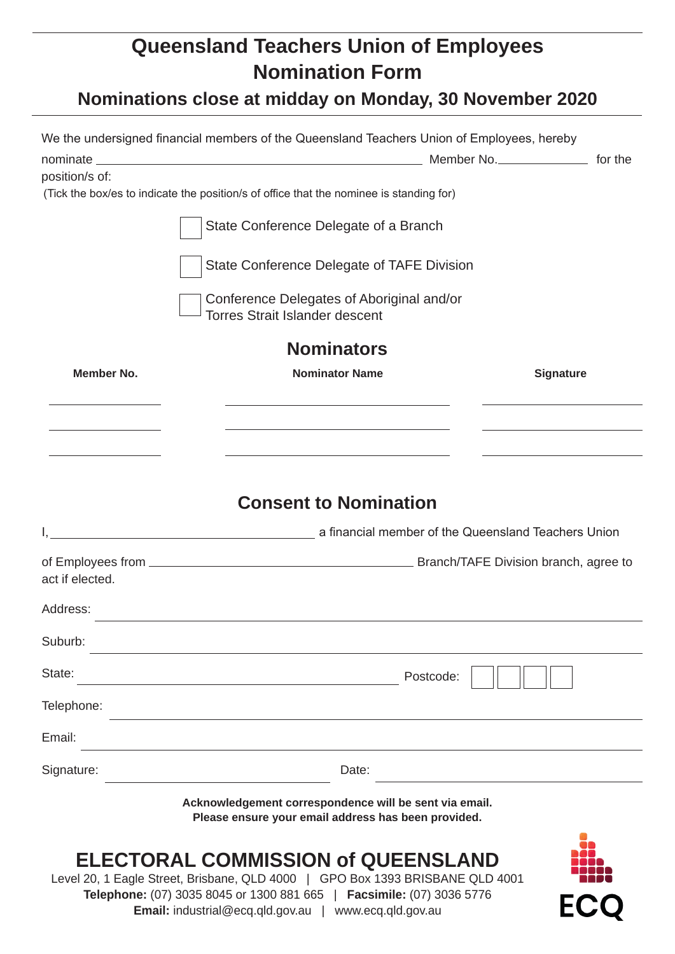### **Queensland Teachers Union of Employees Nomination Form**

# **Nominations close at midday on Monday, 30 November 2020**

|                   | We the undersigned financial members of the Queensland Teachers Union of Employees, hereby                                                                                                                                                                          |     |
|-------------------|---------------------------------------------------------------------------------------------------------------------------------------------------------------------------------------------------------------------------------------------------------------------|-----|
|                   |                                                                                                                                                                                                                                                                     |     |
| position/s of:    |                                                                                                                                                                                                                                                                     |     |
|                   | (Tick the box/es to indicate the position/s of office that the nominee is standing for)                                                                                                                                                                             |     |
|                   | State Conference Delegate of a Branch                                                                                                                                                                                                                               |     |
|                   | State Conference Delegate of TAFE Division                                                                                                                                                                                                                          |     |
|                   | Conference Delegates of Aboriginal and/or<br><b>Torres Strait Islander descent</b>                                                                                                                                                                                  |     |
|                   | <b>Nominators</b>                                                                                                                                                                                                                                                   |     |
| <b>Member No.</b> | <b>Nominator Name</b><br><b>Signature</b>                                                                                                                                                                                                                           |     |
|                   | <u> 1989 - Johann Stoff, deutscher Stoff, der Stoff, der Stoff, der Stoff, der Stoff, der Stoff, der Stoff, der S</u>                                                                                                                                               |     |
|                   |                                                                                                                                                                                                                                                                     |     |
|                   | <b>Consent to Nomination</b>                                                                                                                                                                                                                                        |     |
|                   |                                                                                                                                                                                                                                                                     |     |
|                   |                                                                                                                                                                                                                                                                     |     |
| act if elected.   |                                                                                                                                                                                                                                                                     |     |
| Address:          |                                                                                                                                                                                                                                                                     |     |
| Suburb:           |                                                                                                                                                                                                                                                                     |     |
| State:            | Postcode:                                                                                                                                                                                                                                                           |     |
| Telephone:        |                                                                                                                                                                                                                                                                     |     |
| Email:            |                                                                                                                                                                                                                                                                     |     |
| Signature:        | Date:                                                                                                                                                                                                                                                               |     |
|                   | Acknowledgement correspondence will be sent via email.<br>Please ensure your email address has been provided.                                                                                                                                                       |     |
|                   | <b>ELECTORAL COMMISSION of QUEENSLAND</b><br>Level 20, 1 Eagle Street, Brisbane, QLD 4000   GPO Box 1393 BRISBANE QLD 4001<br>Telephone: (07) 3035 8045 or 1300 881 665   Facsimile: (07) 3036 5776<br><b>Email:</b> industrial@ecq.qld.gov.au   www.ecq.qld.gov.au | ECC |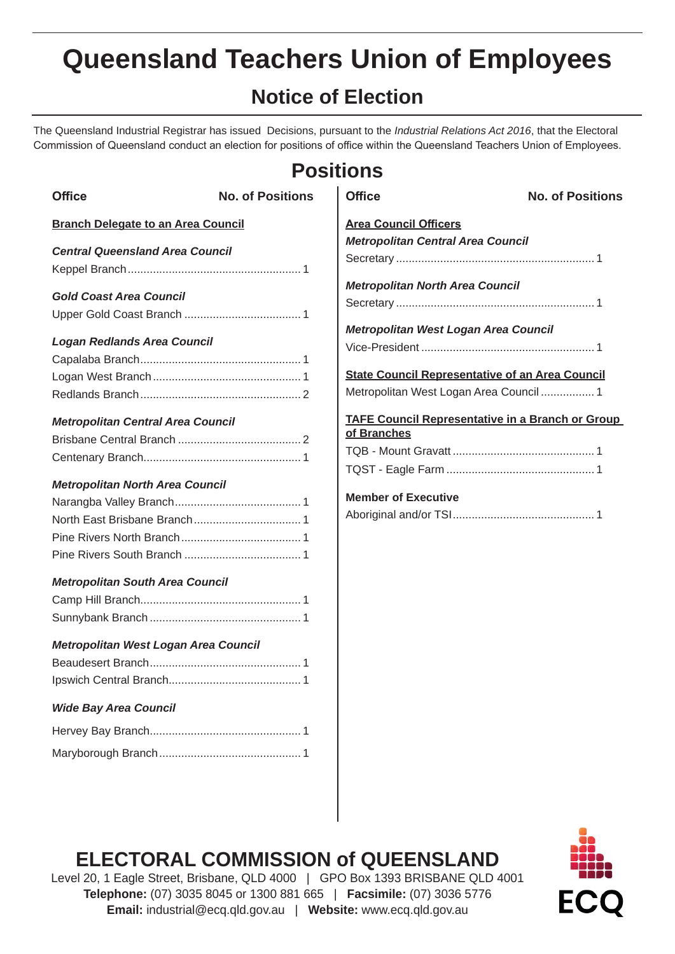# **Notice of Election**

The Queensland Industrial Registrar has issued Decisions, pursuant to the *Industrial Relations Act 2016*, that the Electoral Commission of Queensland conduct an election for positions of office within the Queensland Teachers Union of Employees.

## **Positions**

| <b>Office</b>                             | <b>No. of Positions</b> | <b>Office</b>                                                          | <b>No. of Positions</b> |
|-------------------------------------------|-------------------------|------------------------------------------------------------------------|-------------------------|
| <b>Branch Delegate to an Area Council</b> |                         | <b>Area Council Officers</b>                                           |                         |
|                                           |                         | <b>Metropolitan Central Area Council</b>                               |                         |
| <b>Central Queensland Area Council</b>    |                         |                                                                        |                         |
|                                           |                         | <b>Metropolitan North Area Council</b>                                 |                         |
| <b>Gold Coast Area Council</b>            |                         |                                                                        |                         |
|                                           |                         |                                                                        |                         |
| <b>Logan Redlands Area Council</b>        |                         | Metropolitan West Logan Area Council                                   |                         |
|                                           |                         |                                                                        |                         |
|                                           |                         | <b>State Council Representative of an Area Council</b>                 |                         |
|                                           |                         | Metropolitan West Logan Area Council  1                                |                         |
|                                           |                         |                                                                        |                         |
| <b>Metropolitan Central Area Council</b>  |                         | <b>TAFE Council Representative in a Branch or Group</b><br>of Branches |                         |
|                                           |                         |                                                                        |                         |
|                                           |                         |                                                                        |                         |
| <b>Metropolitan North Area Council</b>    |                         |                                                                        |                         |
|                                           |                         | <b>Member of Executive</b>                                             |                         |
|                                           |                         |                                                                        |                         |
|                                           |                         |                                                                        |                         |
|                                           |                         |                                                                        |                         |
| <b>Metropolitan South Area Council</b>    |                         |                                                                        |                         |
|                                           |                         |                                                                        |                         |
|                                           |                         |                                                                        |                         |
|                                           |                         |                                                                        |                         |
| Metropolitan West Logan Area Council      |                         |                                                                        |                         |
|                                           |                         |                                                                        |                         |
|                                           |                         |                                                                        |                         |
| <b>Wide Bay Area Council</b>              |                         |                                                                        |                         |
|                                           |                         |                                                                        |                         |
|                                           |                         |                                                                        |                         |

## **ELECTORAL COMMISSION of QUEENSLAND**



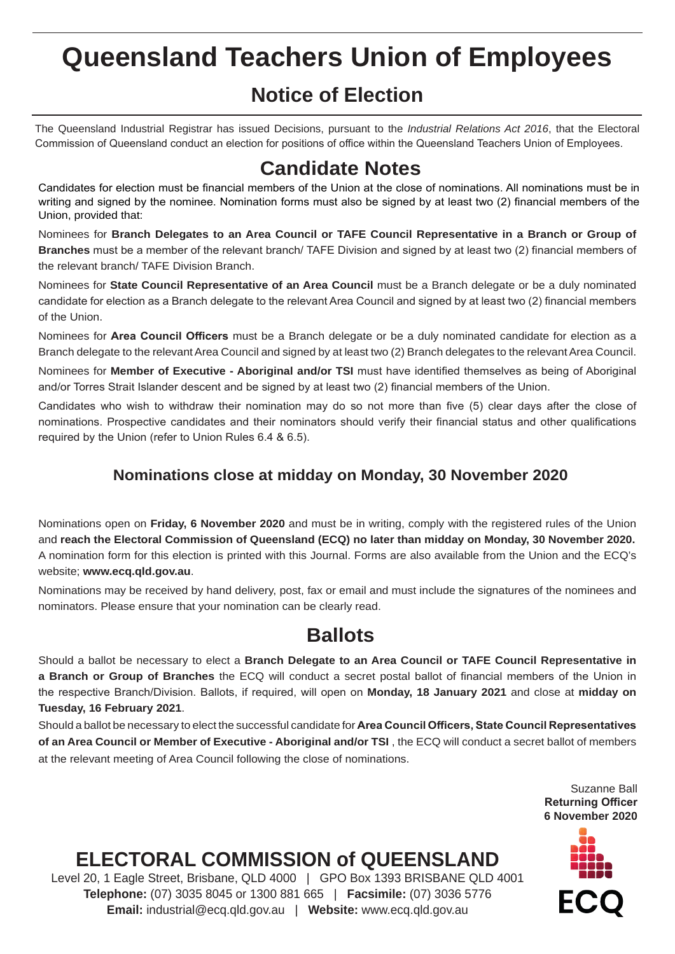## **Notice of Election**

The Queensland Industrial Registrar has issued Decisions, pursuant to the *Industrial Relations Act 2016*, that the Electoral Commission of Queensland conduct an election for positions of office within the Queensland Teachers Union of Employees.

### **Candidate Notes**

Candidates for election must be financial members of the Union at the close of nominations. All nominations must be in writing and signed by the nominee. Nomination forms must also be signed by at least two (2) financial members of the Union, provided that:

Nominees for **Branch Delegates to an Area Council or TAFE Council Representative in a Branch or Group of Branches** must be a member of the relevant branch/ TAFE Division and signed by at least two (2) financial members of the relevant branch/ TAFE Division Branch.

Nominees for **State Council Representative of an Area Council** must be a Branch delegate or be a duly nominated candidate for election as a Branch delegate to the relevant Area Council and signed by at least two (2) financial members of the Union.

Nominees for **Area Council Officers** must be a Branch delegate or be a duly nominated candidate for election as a Branch delegate to the relevant Area Council and signed by at least two (2) Branch delegates to the relevant Area Council.

Nominees for **Member of Executive - Aboriginal and/or TSI** must have identified themselves as being of Aboriginal and/or Torres Strait Islander descent and be signed by at least two (2) financial members of the Union.

Candidates who wish to withdraw their nomination may do so not more than five (5) clear days after the close of nominations. Prospective candidates and their nominators should verify their financial status and other qualifications required by the Union (refer to Union Rules 6.4 & 6.5).

#### **Nominations close at midday on Monday, 30 November 2020**

Nominations open on **Friday, 6 November 2020** and must be in writing, comply with the registered rules of the Union and **reach the Electoral Commission of Queensland (ECQ) no later than midday on Monday, 30 November 2020.** A nomination form for this election is printed with this Journal. Forms are also available from the Union and the ECQ's website; **www.ecq.qld.gov.au**.

Nominations may be received by hand delivery, post, fax or email and must include the signatures of the nominees and nominators. Please ensure that your nomination can be clearly read.

#### **Ballots**

Should a ballot be necessary to elect a **Branch Delegate to an Area Council or TAFE Council Representative in a Branch or Group of Branches** the ECQ will conduct a secret postal ballot of financial members of the Union in the respective Branch/Division. Ballots, if required, will open on **Monday, 18 January 2021** and close at **midday on Tuesday, 16 February 2021**.

Should a ballot be necessary to elect the successful candidate for **Area Council Officers, State Council Representatives of an Area Council or Member of Executive - Aboriginal and/or TSI** , the ECQ will conduct a secret ballot of members at the relevant meeting of Area Council following the close of nominations.

> Suzanne Ball **Returning Officer 6 November 2020**



# **ELECTORAL COMMISSION of QUEENSLAND**

Level 20, 1 Eagle Street, Brisbane, QLD 4000 | GPO Box 1393 BRISBANE QLD 4001 **Telephone:** (07) 3035 8045 or 1300 881 665 | **Facsimile:** (07) 3036 5776 **Email:** industrial@ecq.qld.gov.au | **Website:** www.ecq.qld.gov.au